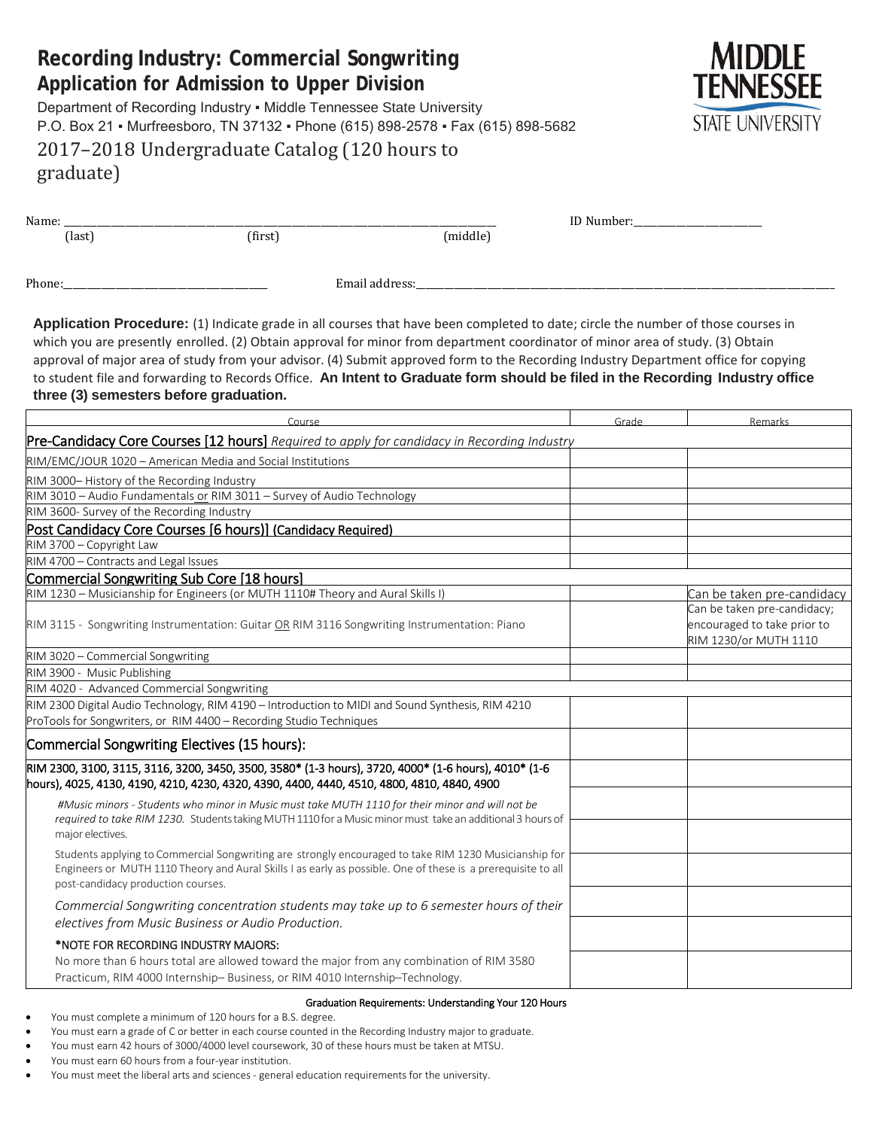## **STATE UNIVERSITY** P.O. Box 21 ▪ Murfreesboro, TN 37132 ▪ Phone (615) 898-2578 ▪ Fax (615) 898-5682 2017–2018 Undergraduate Catalog (120 hours to graduate) Name: \_\_\_\_\_\_\_\_\_\_\_\_\_\_\_\_\_\_\_\_\_\_\_\_\_\_\_\_\_\_\_\_\_\_\_\_\_\_\_\_\_\_\_\_\_\_\_\_\_\_\_\_\_\_\_\_\_\_\_\_\_\_\_\_\_\_\_\_\_\_\_\_\_\_\_\_\_\_\_\_\_\_\_\_\_\_\_\_\_\_\_ ID Number:\_\_\_\_\_\_\_\_\_\_\_\_\_\_\_\_\_\_\_\_\_\_\_\_\_\_\_ (last) (first) (middle) Phone:\_\_\_\_\_\_\_\_\_\_\_\_\_\_\_\_\_\_\_\_\_\_\_\_\_\_\_\_\_\_\_\_\_\_\_\_\_\_\_\_\_\_\_ Email address:\_\_\_\_\_\_\_\_\_\_\_\_\_\_\_\_\_\_\_\_\_\_\_\_\_\_\_\_\_\_\_\_\_\_\_\_\_\_\_\_\_\_\_\_\_\_\_\_\_\_\_\_\_\_\_\_\_\_\_\_\_\_\_\_\_\_\_\_\_\_\_\_\_\_\_\_\_\_\_\_\_\_\_\_\_\_\_\_ **Application Procedure:** (1) Indicate grade in all courses that have been completed to date; circle the number of those courses in which you are presently enrolled. (2) Obtain approval for minor from department coordinator of minor area of study. (3) Obtain approval of major area of study from your advisor. (4) Submit approved form to the Recording Industry Department office for copying to student file and forwarding to Records Office. **An Intent to Graduate form should be filed in the Recording Industry office three (3) semesters before graduation.** Course Remarks (Course Remarks Course Remarks Course Remarks Course Remarks Course Remarks Course Remarks Cours Pre-Candidacy Core Courses [12 hours] *Required to apply for candidacy in Recording Industry* RIM/EMC/JOUR 1020 – American Media and Social Institutions RIM 3000– History of the Recording Industry RIM 3010 – Audio Fundamentals or RIM 3011 – Survey of Audio Technology RIM 3600- Survey of the Recording Industry Post Candidacy Core Courses [6 hours)] (Candidacy Required) RIM 3700 – Copyright Law RIM 4700 – Contracts and Legal Issues Commercial Songwriting Sub Core [18 hours] RIM 1230 – Musicianship for Engineers (or MUTH 1110# Theory and Aural Skills I) Can be taken pre-candidacy Can be taken pre-candidacy; RIM 3115 - Songwriting Instrumentation: Guitar OR RIM 3116 Songwriting Instrumentation: Piano encouraged to take prior to RIM 1230/or MUTH 1110 RIM 3020 – Commercial Songwriting RIM 3900 - Music Publishing

RIM 4020 - Advanced Commercial Songwriting

RIM 2300 Digital Audio Technology, RIM 4190 – Introduction to MIDI and Sound Synthesis, RIM 4210 ProTools for Songwriters, or RIM 4400 – Recording Studio Techniques Commercial Songwriting Electives (15 hours): RIM 2300, 3100, 3115, 3116, 3200, 3450, 3500, 3580\* (1-3 hours), 3720, 4000\* (1-6 hours), 4010\* (1-6 hours), 4025, 4130, 4190, 4210, 4230, 4320, 4390, 4400, 4440, 4510, 4800, 4810, 4840, 4900 *#Music minors - Students who minor in Music must take MUTH 1110 for their minor and will not be required to take RIM 1230.* StudentstakingMUTH1110for a Musicminormust take an additional3 hours of major electives. Students applying to Commercial Songwriting are strongly encouraged to take RIM 1230 Musicianship for Engineers or MUTH 1110 Theory and Aural Skills I as early as possible. One of these is a prerequisite to all post-candidacy production courses. *Commercial Songwriting concentration students may take up to 6 semester hours of their electives from Music Business or Audio Production.* \*NOTE FOR RECORDING INDUSTRY MAJORS: No more than 6 hours total are allowed toward the major from any combination of RIM 3580 Practicum, RIM 4000 Internship– Business, or RIM 4010 Internship–Technology.

#### Graduation Requirements: Understanding Your 120 Hours

- You must complete a minimum of 120 hours for a B.S. degree.
- You must earn a grade of C or better in each course counted in the Recording Industry major to graduate.
- You must earn 42 hours of 3000/4000 level coursework, 30 of these hours must be taken at MTSU.
- You must earn 60 hours from a four-year institution.
- You must meet the liberal arts and sciences general education requirements for the university.

# **Recording Industry: Commercial Songwriting Application for Admission to Upper Division**

Department of Recording Industry · Middle Tennessee State University